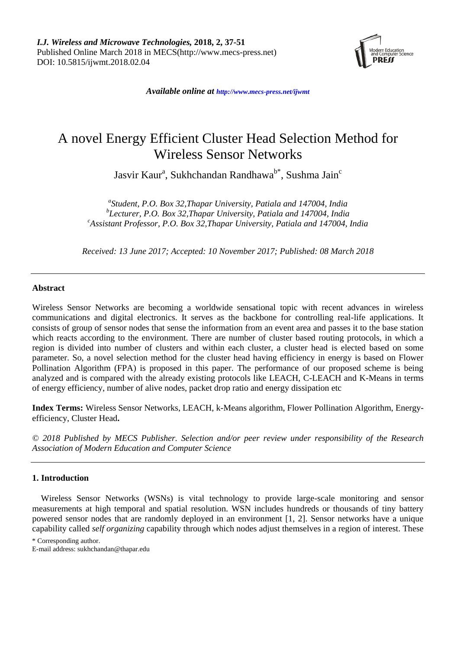

*Available online at <http://www.mecs-press.net/ijwmt>*

# A novel Energy Efficient Cluster Head Selection Method for Wireless Sensor Networks

Jasvir Kaur<sup>a</sup>, Sukhchandan Randhawa<sup>b\*</sup>, Sushma Jain<sup>c</sup>

*a Student, P.O. Box 32,Thapar University, Patiala and 147004, India b Lecturer, P.O. Box 32,Thapar University, Patiala and 147004, India <sup>c</sup>Assistant Professor, P.O. Box 32,Thapar University, Patiala and 147004, India*

*Received: 13 June 2017; Accepted: 10 November 2017; Published: 08 March 2018*

# **Abstract**

Wireless Sensor Networks are becoming a worldwide sensational topic with recent advances in wireless communications and digital electronics. It serves as the backbone for controlling real-life applications. It consists of group of sensor nodes that sense the information from an event area and passes it to the base station which reacts according to the environment. There are number of cluster based routing protocols, in which a region is divided into number of clusters and within each cluster, a cluster head is elected based on some parameter. So, a novel selection method for the cluster head having efficiency in energy is based on Flower Pollination Algorithm (FPA) is proposed in this paper. The performance of our proposed scheme is being analyzed and is compared with the already existing protocols like LEACH, C-LEACH and K-Means in terms of energy efficiency, number of alive nodes, packet drop ratio and energy dissipation etc

**Index Terms:** Wireless Sensor Networks, LEACH, k-Means algorithm, Flower Pollination Algorithm, Energyefficiency, Cluster Head**.**

*© 2018 Published by MECS Publisher. Selection and/or peer review under responsibility of the Research Association of Modern Education and Computer Science*

# **1. Introduction**

Wireless Sensor Networks (WSNs) is vital technology to provide large-scale monitoring and sensor measurements at high temporal and spatial resolution. WSN includes hundreds or thousands of tiny battery powered sensor nodes that are randomly deployed in an environment [1, 2]. Sensor networks have a unique capability called *self organizing* capability through which nodes adjust themselves in a region of interest. These

\* Corresponding author.

E-mail address: sukhchandan@thapar.edu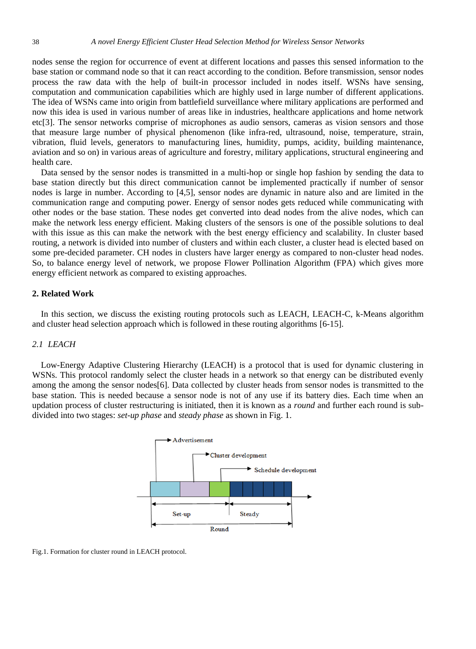nodes sense the region for occurrence of event at different locations and passes this sensed information to the base station or command node so that it can react according to the condition. Before transmission, sensor nodes process the raw data with the help of built-in processor included in nodes itself. WSNs have sensing, computation and communication capabilities which are highly used in large number of different applications. The idea of WSNs came into origin from battlefield surveillance where military applications are performed and now this idea is used in various number of areas like in industries, healthcare applications and home network etc[3]. The sensor networks comprise of microphones as audio sensors, cameras as vision sensors and those that measure large number of physical phenomenon (like infra-red, ultrasound, noise, temperature, strain, vibration, fluid levels, generators to manufacturing lines, humidity, pumps, acidity, building maintenance, aviation and so on) in various areas of agriculture and forestry, military applications, structural engineering and health care.

Data sensed by the sensor nodes is transmitted in a multi-hop or single hop fashion by sending the data to base station directly but this direct communication cannot be implemented practically if number of sensor nodes is large in number. According to [4,5], sensor nodes are dynamic in nature also and are limited in the communication range and computing power. Energy of sensor nodes gets reduced while communicating with other nodes or the base station. These nodes get converted into dead nodes from the alive nodes, which can make the network less energy efficient. Making clusters of the sensors is one of the possible solutions to deal with this issue as this can make the network with the best energy efficiency and scalability. In cluster based routing, a network is divided into number of clusters and within each cluster, a cluster head is elected based on some pre-decided parameter. CH nodes in clusters have larger energy as compared to non-cluster head nodes. So, to balance energy level of network, we propose Flower Pollination Algorithm (FPA) which gives more energy efficient network as compared to existing approaches.

#### **2. Related Work**

In this section, we discuss the existing routing protocols such as LEACH, LEACH-C, k-Means algorithm and cluster head selection approach which is followed in these routing algorithms [6-15].

## *2.1 LEACH*

Low-Energy Adaptive Clustering Hierarchy (LEACH) is a protocol that is used for dynamic clustering in WSNs. This protocol randomly select the cluster heads in a network so that energy can be distributed evenly among the among the sensor nodes[6]. Data collected by cluster heads from sensor nodes is transmitted to the base station. This is needed because a sensor node is not of any use if its battery dies. Each time when an updation process of cluster restructuring is initiated, then it is known as a *round* and further each round is subdivided into two stages: *set-up phase* and *steady phase* as shown in Fig. 1.



Fig.1. Formation for cluster round in LEACH protocol.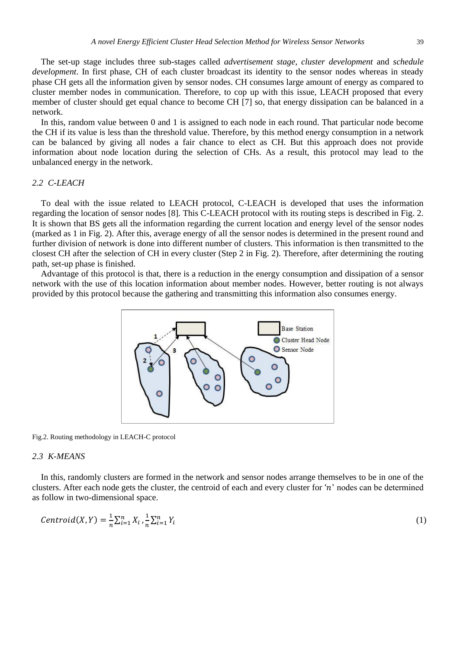The set-up stage includes three sub-stages called *advertisement stage, cluster development* and *schedule development*. In first phase, CH of each cluster broadcast its identity to the sensor nodes whereas in steady phase CH gets all the information given by sensor nodes. CH consumes large amount of energy as compared to cluster member nodes in communication. Therefore, to cop up with this issue, LEACH proposed that every member of cluster should get equal chance to become CH [7] so, that energy dissipation can be balanced in a network.

In this, random value between 0 and 1 is assigned to each node in each round. That particular node become the CH if its value is less than the threshold value. Therefore, by this method energy consumption in a network can be balanced by giving all nodes a fair chance to elect as CH. But this approach does not provide information about node location during the selection of CHs. As a result, this protocol may lead to the unbalanced energy in the network.

#### *2.2 C-LEACH*

To deal with the issue related to LEACH protocol, C-LEACH is developed that uses the information regarding the location of sensor nodes [8]. This C-LEACH protocol with its routing steps is described in Fig. 2. It is shown that BS gets all the information regarding the current location and energy level of the sensor nodes (marked as 1 in Fig. 2). After this, average energy of all the sensor nodes is determined in the present round and further division of network is done into different number of clusters. This information is then transmitted to the closest CH after the selection of CH in every cluster (Step 2 in Fig. 2). Therefore, after determining the routing path, set-up phase is finished.

Advantage of this protocol is that, there is a reduction in the energy consumption and dissipation of a sensor network with the use of this location information about member nodes. However, better routing is not always provided by this protocol because the gathering and transmitting this information also consumes energy.



Fig.2. Routing methodology in LEACH-C protocol

#### *2.3 K-MEANS*

In this, randomly clusters are formed in the network and sensor nodes arrange themselves to be in one of the clusters. After each node gets the cluster, the centroid of each and every cluster for 'n' nodes can be determined as follow in two-dimensional space.

$$
Centroid(X,Y) = \frac{1}{n} \sum_{i=1}^{n} X_i \cdot \frac{1}{n} \sum_{i=1}^{n} Y_i
$$
\n(1)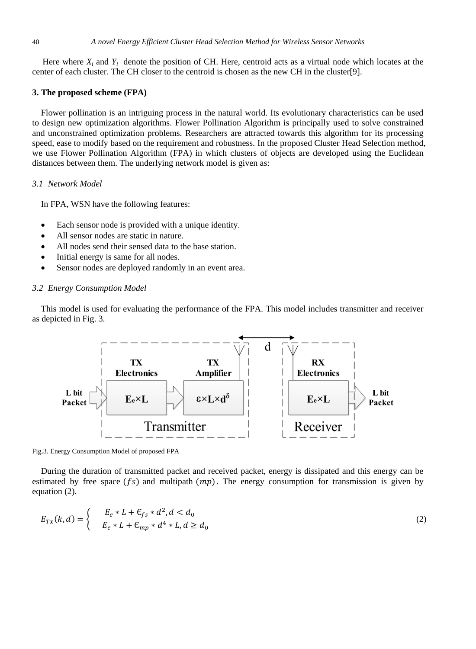Here where  $X_i$  and  $Y_i$  denote the position of CH. Here, centroid acts as a virtual node which locates at the center of each cluster. The CH closer to the centroid is chosen as the new CH in the cluster[9].

#### **3. The proposed scheme (FPA)**

Flower pollination is an intriguing process in the natural world. Its evolutionary characteristics can be used to design new optimization algorithms. Flower Pollination Algorithm is principally used to solve constrained and unconstrained optimization problems. Researchers are attracted towards this algorithm for its processing speed, ease to modify based on the requirement and robustness. In the proposed Cluster Head Selection method, we use Flower Pollination Algorithm (FPA) in which clusters of objects are developed using the Euclidean distances between them. The underlying network model is given as:

### *3.1 Network Model*

In FPA, WSN have the following features:

- Each sensor node is provided with a unique identity.
- All sensor nodes are static in nature.
- All nodes send their sensed data to the base station.
- Initial energy is same for all nodes.
- Sensor nodes are deployed randomly in an event area.

#### *3.2 Energy Consumption Model*

This model is used for evaluating the performance of the FPA. This model includes transmitter and receiver as depicted in Fig. 3.



Fig.3. Energy Consumption Model of proposed FPA

During the duration of transmitted packet and received packet, energy is dissipated and this energy can be estimated by free space  $(fs)$  and multipath  $(mp)$ . The energy consumption for transmission is given by equation (2).

$$
E_{Tx}(k,d) = \begin{cases} E_e * L + \mathcal{E}_{fs} * d^2, d < d_0 \\ E_e * L + \mathcal{E}_{mp} * d^4 * L, d \ge d_0 \end{cases}
$$
(2)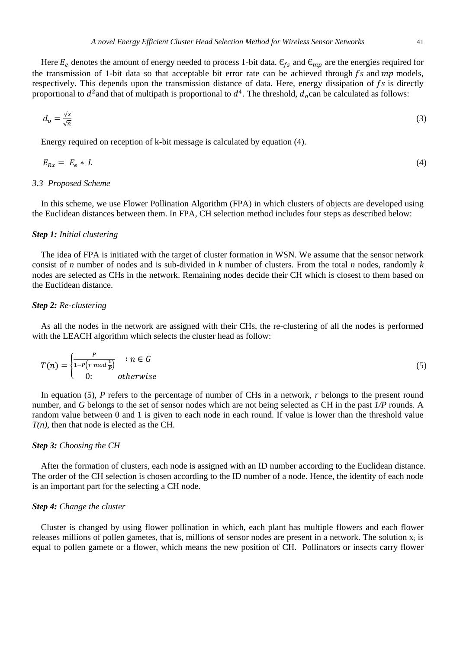Here  $E_e$  denotes the amount of energy needed to process 1-bit data.  $\epsilon_{fs}$  and  $\epsilon_{mp}$  are the energies required for the transmission of 1-bit data so that acceptable bit error rate can be achieved through  $fs$  and  $mp$  models, respectively. This depends upon the transmission distance of data. Here, energy dissipation of  $fs$  is directly proportional to  $d^2$  and that of multipath is proportional to  $d^4$ . The threshold,  $d_o$  can be calculated as follows:

$$
d_o = \frac{\sqrt{s}}{\sqrt{n}}\tag{3}
$$

Energy required on reception of k-bit message is calculated by equation (4).

$$
E_{Rx} = E_e * L \tag{4}
$$

#### *3.3 Proposed Scheme*

In this scheme, we use Flower Pollination Algorithm (FPA) in which clusters of objects are developed using the Euclidean distances between them. In FPA, CH selection method includes four steps as described below:

### *Step 1: Initial clustering*

The idea of FPA is initiated with the target of cluster formation in WSN. We assume that the sensor network consist of *n* number of nodes and is sub-divided in *k* number of clusters. From the total *n* nodes, randomly *k*  nodes are selected as CHs in the network. Remaining nodes decide their CH which is closest to them based on the Euclidean distance.

#### *Step 2: Re-clustering*

As all the nodes in the network are assigned with their CHs, the re-clustering of all the nodes is performed with the LEACH algorithm which selects the cluster head as follow:

$$
T(n) = \begin{cases} \frac{P}{1 - P(r \mod \frac{1}{P})} & \text{if } n \in G\\ 0 & \text{otherwise} \end{cases} \tag{5}
$$

In equation (5), *P* refers to the percentage of number of CHs in a network, *r* belongs to the present round number, and *G* belongs to the set of sensor nodes which are not being selected as CH in the past *1/P* rounds. A random value between 0 and 1 is given to each node in each round. If value is lower than the threshold value *T(n)*, then that node is elected as the CH.

#### *Step 3: Choosing the CH*

After the formation of clusters, each node is assigned with an ID number according to the Euclidean distance. The order of the CH selection is chosen according to the ID number of a node. Hence, the identity of each node is an important part for the selecting a CH node.

#### *Step 4: Change the cluster*

Cluster is changed by using flower pollination in which, each plant has multiple flowers and each flower releases millions of pollen gametes, that is, millions of sensor nodes are present in a network. The solution  $x_i$  is equal to pollen gamete or a flower, which means the new position of CH. Pollinators or insects carry flower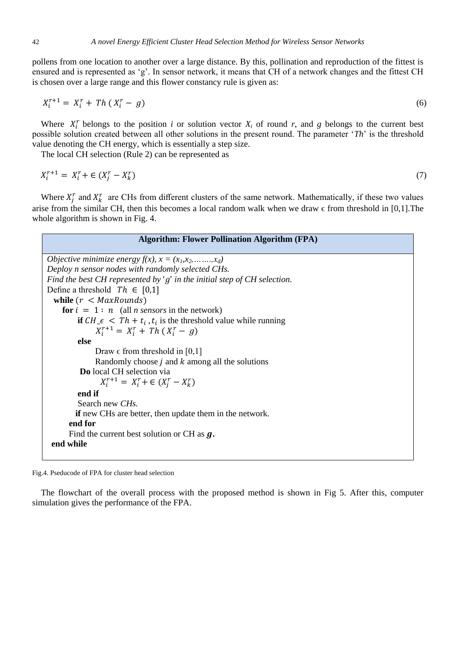pollens from one location to another over a large distance. By this, pollination and reproduction of the fittest is ensured and is represented as 'g'. In sensor network, it means that CH of a network changes and the fittest CH is chosen over a large range and this flower constancy rule is given as:

$$
X_i^{r+1} = X_i^r + Th(X_i^r - g)
$$
\n(6)

Where  $X_i^r$  belongs to the position *i* or solution vector  $X_i$  of round  $r$ , and  $g$  belongs to the current best possible solution created between all other solutions in the present round. The parameter '*Th*' is the threshold value denoting the CH energy, which is essentially a step size.

The local CH selection (Rule 2) can be represented as

$$
X_i^{r+1} = X_i^r + \in (X_j^r - X_k^r) \tag{7}
$$

Where  $X_j^r$  and  $X_k^r$  are CHs from different clusters of the same network. Mathematically, if these two values arise from the similar CH, then this becomes a local random walk when we draw  $\epsilon$  from threshold in [0,1]. The whole algorithm is shown in Fig. 4.

| <b>Algorithm: Flower Pollination Algorithm (FPA)</b>                                                 |  |  |
|------------------------------------------------------------------------------------------------------|--|--|
| Objective minimize energy $f(x)$ , $x = (x_1, x_2, \ldots, x_d)$                                     |  |  |
| Deploy n sensor nodes with randomly selected CHs.                                                    |  |  |
| Find the best CH represented by 'q' in the initial step of CH selection.                             |  |  |
| Define a threshold $Th \in [0,1]$                                                                    |  |  |
| while $(r < \textit{MaxRounds})$                                                                     |  |  |
| for $i = 1 : n$ (all <i>n sensors</i> in the network)                                                |  |  |
| <b>if</b> $CH_{\mathcal{I}} \in \mathcal{I}$ $Th + t_i$ , $t_i$ is the threshold value while running |  |  |
| $X_i^{r+1} = X_i^r + Th(X_i^r - g)$                                                                  |  |  |
| else                                                                                                 |  |  |
| Draw $\epsilon$ from threshold in [0,1]                                                              |  |  |
| Randomly choose $j$ and $k$ among all the solutions                                                  |  |  |
| <b>Do</b> local CH selection via                                                                     |  |  |
| $X_i^{r+1} = X_i^r + \in (X_i^r - X_k^r)$                                                            |  |  |
| end if                                                                                               |  |  |
| Search new CH <sub>s</sub> .                                                                         |  |  |
| <b>if</b> new CHs are better, then update them in the network.                                       |  |  |
| end for                                                                                              |  |  |
| Find the current best solution or CH as $q$ .                                                        |  |  |
| end while                                                                                            |  |  |
|                                                                                                      |  |  |

Fig.4. Pseducode of FPA for cluster head selection

The flowchart of the overall process with the proposed method is shown in Fig 5. After this, computer simulation gives the performance of the FPA.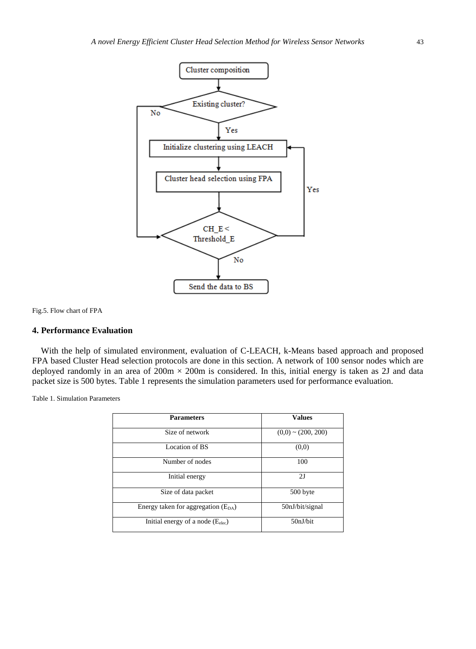

Fig.5. Flow chart of FPA

### **4. Performance Evaluation**

With the help of simulated environment, evaluation of C-LEACH, k-Means based approach and proposed FPA based Cluster Head selection protocols are done in this section. A network of 100 sensor nodes which are deployed randomly in an area of  $200m \times 200m$  is considered. In this, initial energy is taken as 2J and data packet size is 500 bytes. Table 1 represents the simulation parameters used for performance evaluation.

Table 1. Simulation Parameters

| <b>Parameters</b>                       | <b>Values</b>           |
|-----------------------------------------|-------------------------|
| Size of network                         | $(0,0) \sim (200, 200)$ |
| Location of BS                          | (0,0)                   |
| Number of nodes                         | 100                     |
| Initial energy                          | 2J                      |
| Size of data packet                     | 500 byte                |
| Energy taken for aggregation $(E_{DA})$ | 50nJ/bit/signal         |
| Initial energy of a node $(E_{elec})$   | 50nJ/bit                |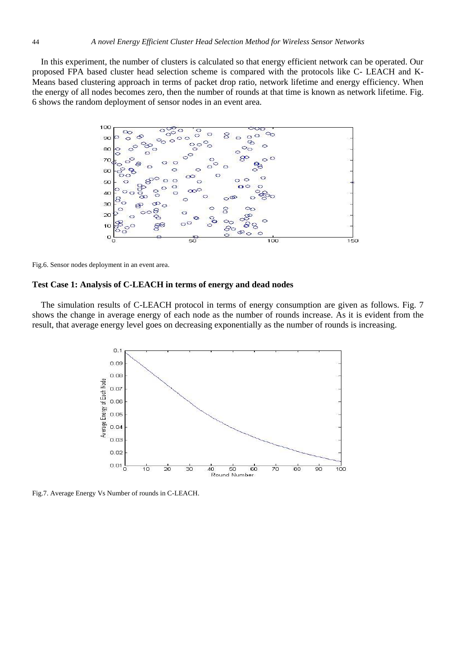In this experiment, the number of clusters is calculated so that energy efficient network can be operated. Our proposed FPA based cluster head selection scheme is compared with the protocols like C- LEACH and K-Means based clustering approach in terms of packet drop ratio, network lifetime and energy efficiency. When the energy of all nodes becomes zero, then the number of rounds at that time is known as network lifetime. Fig. 6 shows the random deployment of sensor nodes in an event area.



Fig.6. Sensor nodes deployment in an event area.

#### **Test Case 1: Analysis of C-LEACH in terms of energy and dead nodes**

The simulation results of C-LEACH protocol in terms of energy consumption are given as follows. Fig. 7 shows the change in average energy of each node as the number of rounds increase. As it is evident from the result, that average energy level goes on decreasing exponentially as the number of rounds is increasing.



Fig.7. Average Energy Vs Number of rounds in C-LEACH.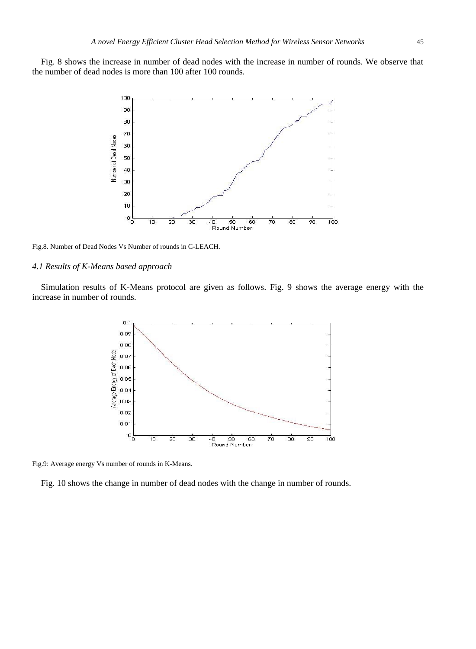Fig. 8 shows the increase in number of dead nodes with the increase in number of rounds. We observe that the number of dead nodes is more than 100 after 100 rounds.



Fig.8. Number of Dead Nodes Vs Number of rounds in C-LEACH.

#### *4.1 Results of K-Means based approach*

Simulation results of K-Means protocol are given as follows. Fig. 9 shows the average energy with the increase in number of rounds.



Fig.9: Average energy Vs number of rounds in K-Means.

Fig. 10 shows the change in number of dead nodes with the change in number of rounds.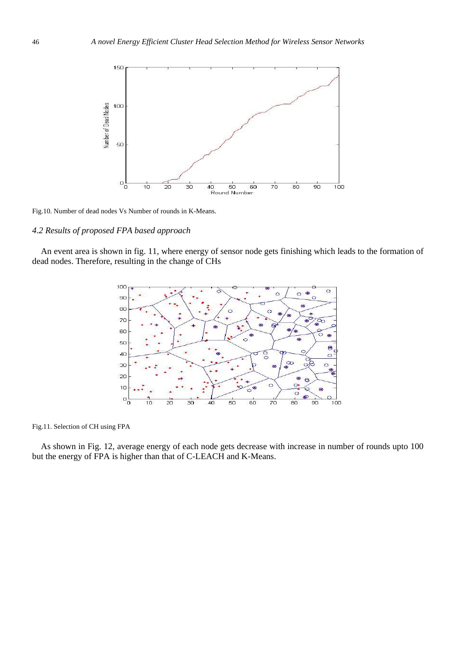

Fig.10. Number of dead nodes Vs Number of rounds in K-Means.

# *4.2 Results of proposed FPA based approach*

An event area is shown in fig. 11, where energy of sensor node gets finishing which leads to the formation of dead nodes. Therefore, resulting in the change of CHs



Fig.11. Selection of CH using FPA

As shown in Fig. 12, average energy of each node gets decrease with increase in number of rounds upto 100 but the energy of FPA is higher than that of C-LEACH and K-Means.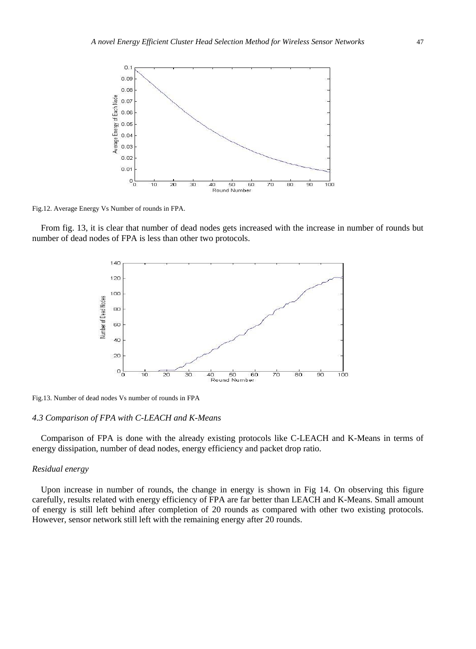

Fig.12. Average Energy Vs Number of rounds in FPA.

From fig. 13, it is clear that number of dead nodes gets increased with the increase in number of rounds but number of dead nodes of FPA is less than other two protocols.



Fig.13. Number of dead nodes Vs number of rounds in FPA

#### *4.3 Comparison of FPA with C-LEACH and K-Means*

Comparison of FPA is done with the already existing protocols like C-LEACH and K-Means in terms of energy dissipation, number of dead nodes, energy efficiency and packet drop ratio.

### *Residual energy*

Upon increase in number of rounds, the change in energy is shown in Fig 14. On observing this figure carefully, results related with energy efficiency of FPA are far better than LEACH and K-Means. Small amount of energy is still left behind after completion of 20 rounds as compared with other two existing protocols. However, sensor network still left with the remaining energy after 20 rounds.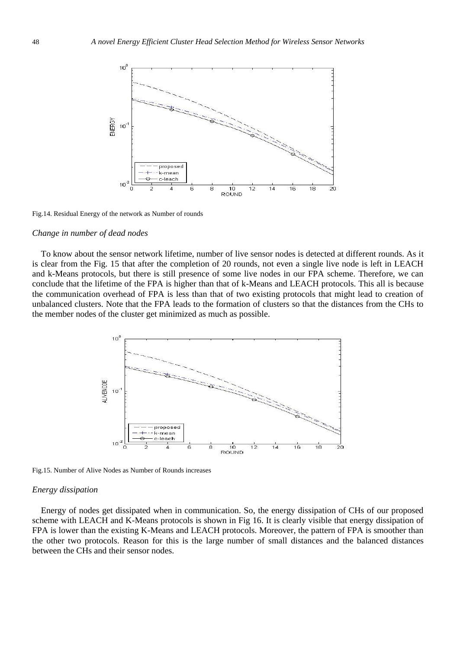

Fig.14. Residual Energy of the network as Number of rounds

#### *Change in number of dead nodes*

To know about the sensor network lifetime, number of live sensor nodes is detected at different rounds. As it is clear from the Fig. 15 that after the completion of 20 rounds, not even a single live node is left in LEACH and k-Means protocols, but there is still presence of some live nodes in our FPA scheme. Therefore, we can conclude that the lifetime of the FPA is higher than that of k-Means and LEACH protocols. This all is because the communication overhead of FPA is less than that of two existing protocols that might lead to creation of unbalanced clusters. Note that the FPA leads to the formation of clusters so that the distances from the CHs to the member nodes of the cluster get minimized as much as possible.



Fig.15. Number of Alive Nodes as Number of Rounds increases

#### *Energy dissipation*

Energy of nodes get dissipated when in communication. So, the energy dissipation of CHs of our proposed scheme with LEACH and K-Means protocols is shown in Fig 16. It is clearly visible that energy dissipation of FPA is lower than the existing K-Means and LEACH protocols. Moreover, the pattern of FPA is smoother than the other two protocols. Reason for this is the large number of small distances and the balanced distances between the CHs and their sensor nodes.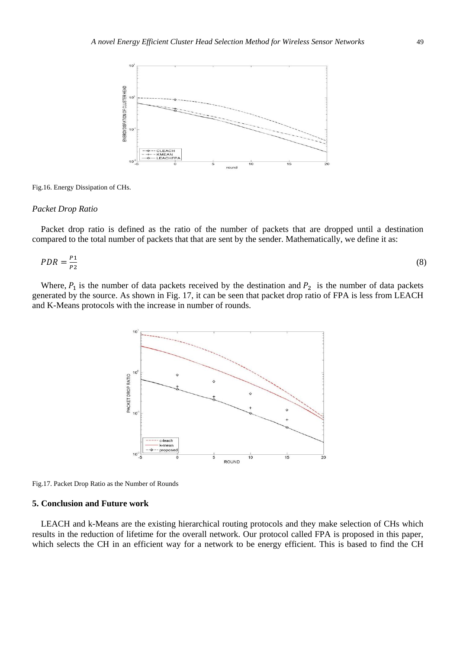

Fig.16. Energy Dissipation of CHs.

#### *Packet Drop Ratio*

Packet drop ratio is defined as the ratio of the number of packets that are dropped until a destination compared to the total number of packets that that are sent by the sender. Mathematically, we define it as:

$$
PDR = \frac{P_1}{P_2} \tag{8}
$$

Where,  $P_1$  is the number of data packets received by the destination and  $P_2$  is the number of data packets generated by the source. As shown in Fig. 17, it can be seen that packet drop ratio of FPA is less from LEACH and K-Means protocols with the increase in number of rounds.



Fig.17. Packet Drop Ratio as the Number of Rounds

#### **5. Conclusion and Future work**

LEACH and k-Means are the existing hierarchical routing protocols and they make selection of CHs which results in the reduction of lifetime for the overall network. Our protocol called FPA is proposed in this paper, which selects the CH in an efficient way for a network to be energy efficient. This is based to find the CH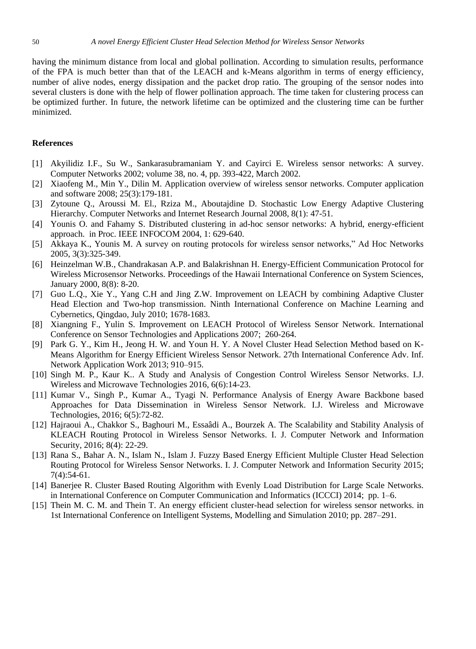having the minimum distance from local and global pollination. According to simulation results, performance of the FPA is much better than that of the LEACH and k-Means algorithm in terms of energy efficiency, number of alive nodes, energy dissipation and the packet drop ratio. The grouping of the sensor nodes into several clusters is done with the help of flower pollination approach. The time taken for clustering process can be optimized further. In future, the network lifetime can be optimized and the clustering time can be further minimized.

#### **References**

- [1] Akyilidiz I.F., Su W., Sankarasubramaniam Y. and Cayirci E. Wireless sensor networks: A survey. Computer Networks 2002; volume 38, no. 4, pp. 393-422, March 2002.
- [2] Xiaofeng M., Min Y., Dilin M. Application overview of wireless sensor networks. Computer application and software 2008; 25(3):179-181.
- [3] Zytoune Q., Aroussi M. El., Rziza M., Aboutajdine D. Stochastic Low Energy Adaptive Clustering Hierarchy. Computer Networks and Internet Research Journal 2008, 8(1): 47-51.
- [4] Younis O. and Fahamy S. Distributed clustering in ad-hoc sensor networks: A hybrid, energy-efficient approach. in Proc. IEEE INFOCOM 2004, 1: 629-640.
- [5] Akkaya K., Younis M. A survey on routing protocols for wireless sensor networks," Ad Hoc Networks 2005, 3(3):325-349.
- [6] Heinzelman W.B., Chandrakasan A.P. and Balakrishnan H. Energy-Efficient Communication Protocol for Wireless Microsensor Networks. Proceedings of the Hawaii International Conference on System Sciences, January 2000, 8(8): 8-20.
- [7] Guo L.Q., Xie Y., Yang C.H and Jing Z.W. Improvement on LEACH by combining Adaptive Cluster Head Election and Two-hop transmission. Ninth International Conference on Machine Learning and Cybernetics, Qingdao, July 2010; 1678-1683.
- [8] Xiangning F., Yulin S. Improvement on LEACH Protocol of Wireless Sensor Network. International Conference on Sensor Technologies and Applications 2007; 260-264.
- [9] Park G. Y., Kim H., Jeong H. W. and Youn H. Y. A Novel Cluster Head Selection Method based on K-Means Algorithm for Energy Efficient Wireless Sensor Network. 27th International Conference Adv. Inf. Network Application Work 2013; 910–915.
- [10] Singh M. P., Kaur K.. A Study and Analysis of Congestion Control Wireless Sensor Networks. I.J. Wireless and Microwave Technologies 2016, 6(6):14-23.
- [11] Kumar V., Singh P., Kumar A., Tyagi N. Performance Analysis of Energy Aware Backbone based Approaches for Data Dissemination in Wireless Sensor Network. I.J. Wireless and Microwave Technologies, 2016; 6(5):72-82.
- [12] Hajraoui A., Chakkor S., Baghouri M., Essa âdi A., Bourzek A. The Scalability and Stability Analysis of KLEACH Routing Protocol in Wireless Sensor Networks. I. J. Computer Network and Information Security, 2016; 8(4): 22-29.
- [13] Rana S., Bahar A. N., Islam N., Islam J. Fuzzy Based Energy Efficient Multiple Cluster Head Selection Routing Protocol for Wireless Sensor Networks. I. J. Computer Network and Information Security 2015; 7(4):54-61.
- [14] Banerjee R. Cluster Based Routing Algorithm with Evenly Load Distribution for Large Scale Networks. in International Conference on Computer Communication and Informatics (ICCCI) 2014; pp. 1–6.
- [15] Thein M. C. M. and Thein T. An energy efficient cluster-head selection for wireless sensor networks. in 1st International Conference on Intelligent Systems, Modelling and Simulation 2010; pp. 287–291.